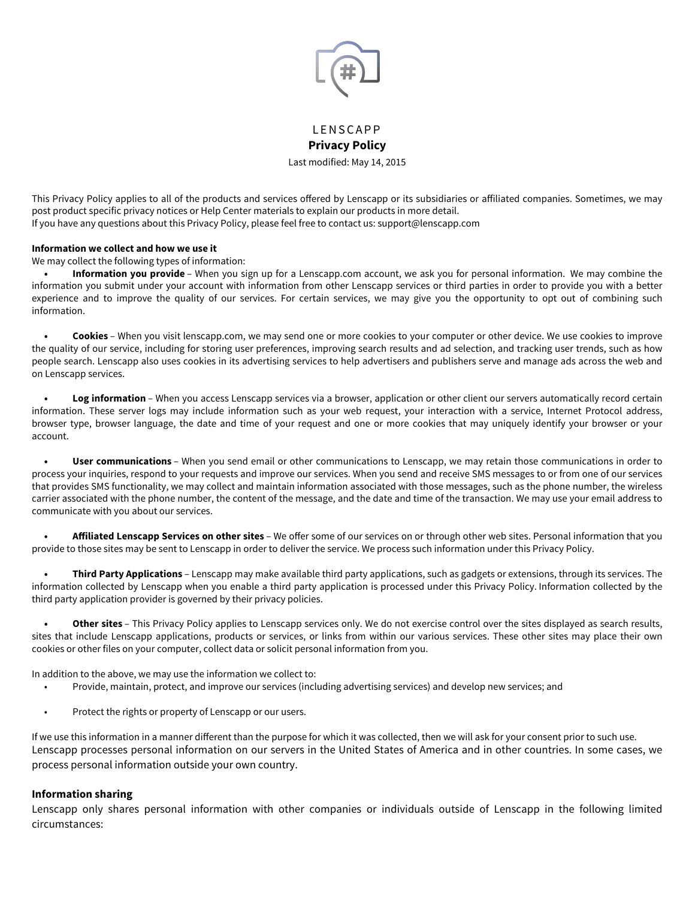

# **LENSCAPP Privacy Policy**

Last modified: May 14, 2015

This Privacy Policy applies to all of the products and services ofered by Lenscapp or its subsidiaries or afiliated companies. Sometimes, we may post product specific privacy notices or Help Center materials to explain our products in more detail. If you have any questions about this Privacy Policy, please feel free to contact us: support@lenscapp.com

#### **Information we collect and how we use it**

We may collect the following types of information:

**• Information you provide** – When you sign up for a Lenscapp.com account, we ask you for personal information. We may combine the information you submit under your account with information from other Lenscapp services or third parties in order to provide you with a better experience and to improve the quality of our services. For certain services, we may give you the opportunity to opt out of combining such information.

**• Cookies** – When you visit lenscapp.com, we may send one or more cookies to your computer or other device. We use cookies to improve the quality of our service, including for storing user preferences, improving search results and ad selection, and tracking user trends, such as how people search. Lenscapp also uses cookies in its advertising services to help advertisers and publishers serve and manage ads across the web and on Lenscapp services.

**• Log information** – When you access Lenscapp services via a browser, application or other client our servers automatically record certain information. These server logs may include information such as your web request, your interaction with a service, Internet Protocol address, browser type, browser language, the date and time of your request and one or more cookies that may uniquely identify your browser or your account.

**• User communications** – When you send email or other communications to Lenscapp, we may retain those communications in order to process your inquiries, respond to your requests and improve our services. When you send and receive SMS messages to or from one of our services that provides SMS functionality, we may collect and maintain information associated with those messages, such as the phone number, the wireless carrier associated with the phone number, the content of the message, and the date and time of the transaction. We may use your email address to communicate with you about our services.

**• Afiliated Lenscapp Services on other sites** – We ofer some of our services on or through other web sites. Personal information that you provide to those sites may be sent to Lenscapp in order to deliver the service. We process such information under this Privacy Policy.

**• Third Party Applications** – Lenscapp may make available third party applications, such as gadgets or extensions, through its services. The information collected by Lenscapp when you enable a third party application is processed under this Privacy Policy. Information collected by the third party application provider is governed by their privacy policies.

**• Other sites** – This Privacy Policy applies to Lenscapp services only. We do not exercise control over the sites displayed as search results, sites that include Lenscapp applications, products or services, or links from within our various services. These other sites may place their own cookies or other files on your computer, collect data or solicit personal information from you.

In addition to the above, we may use the information we collect to:

- Provide, maintain, protect, and improve our services (including advertising services) and develop new services; and
- Protect the rights or property of Lenscapp or our users.

If we use this information in a manner diferent than the purpose for which it was collected, then we will ask for your consent prior to such use. Lenscapp processes personal information on our servers in the United States of America and in other countries. In some cases, we process personal information outside your own country.

#### **Information sharing**

Lenscapp only shares personal information with other companies or individuals outside of Lenscapp in the following limited circumstances: